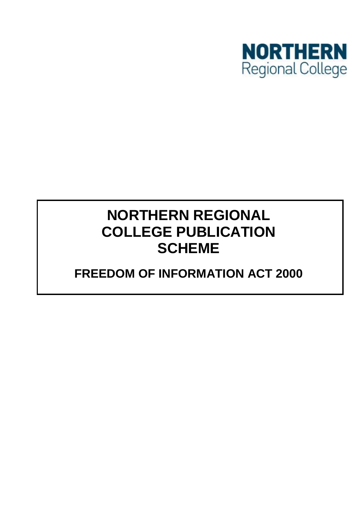

# **NORTHERN REGIONAL COLLEGE PUBLICATION SCHEME**

## **FREEDOM OF INFORMATION ACT 2000**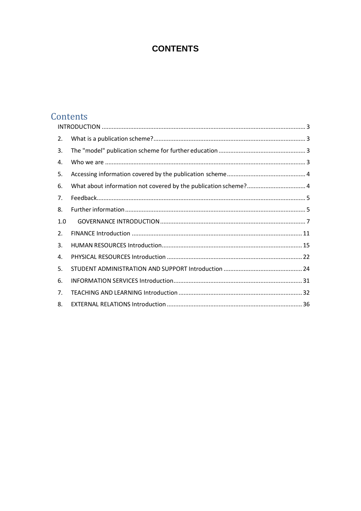### **CONTENTS**

## Contents

| 2.  |  |
|-----|--|
| 3.  |  |
| 4.  |  |
| 5.  |  |
| 6.  |  |
| 7.  |  |
| 8.  |  |
| 1.0 |  |
| 2.  |  |
| 3.  |  |
| 4.  |  |
| 5.  |  |
| 6.  |  |
| 7.  |  |
| 8.  |  |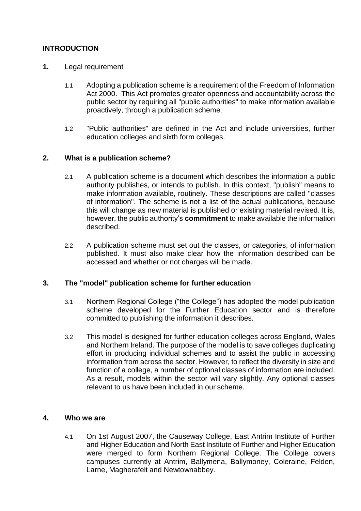#### <span id="page-2-0"></span>**INTRODUCTION**

- **1.** Legal requirement
	- 1.1 Adopting a publication scheme is a requirement of the Freedom of Information Act 2000. This Act promotes greater openness and accountability across the public sector by requiring all "public authorities" to make information available proactively, through a publication scheme.
	- 1.2 "Public authorities" are defined in the Act and include universities, further education colleges and sixth form colleges.

#### <span id="page-2-1"></span>**2. What is a publication scheme?**

- 2.1 A publication scheme is a document which describes the information a public authority publishes, or intends to publish. In this context, "publish" means to make information available, routinely. These descriptions are called "classes of information". The scheme is not a list of the actual publications, because this will change as new material is published or existing material revised. It is, however, the public authority's **commitment** to make available the information described.
- 2.2 A publication scheme must set out the classes, or categories, of information published. It must also make clear how the information described can be accessed and whether or not charges will be made.

#### <span id="page-2-2"></span>**3. The "model" publication scheme for further education**

- 3.1 Northern Regional College ("the College") has adopted the model publication scheme developed for the Further Education sector and is therefore committed to publishing the information it describes.
- 3.2 This model is designed for further education colleges across England, Wales and Northern Ireland. The purpose of the model is to save colleges duplicating effort in producing individual schemes and to assist the public in accessing information from across the sector. However, to reflect the diversity in size and function of a college, a number of optional classes of information are included. As a result, models within the sector will vary slightly. Any optional classes relevant to us have been included in our scheme.

#### <span id="page-2-3"></span>**4. Who we are**

4.1 On 1st August 2007, the Causeway College, East Antrim Institute of Further and Higher Education and North East Institute of Further and Higher Education were merged to form Northern Regional College. The College covers campuses currently at Antrim, Ballymena, Ballymoney, Coleraine, Felden, Larne, Magherafelt and Newtownabbey.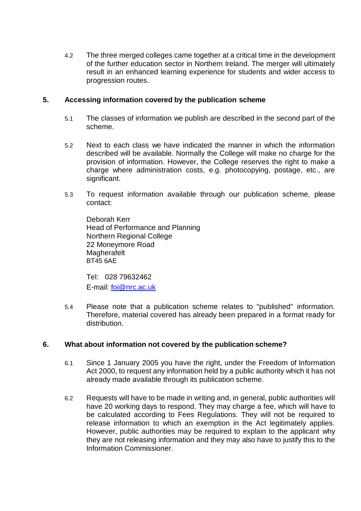4.2 The three merged colleges came together at a critical time in the development of the further education sector in Northern Ireland. The merger will ultimately result in an enhanced learning experience for students and wider access to progression routes.

#### <span id="page-3-0"></span>**5. Accessing information covered by the publication scheme**

- 5.1 The classes of information we publish are described in the second part of the scheme.
- 5.2 Next to each class we have indicated the manner in which the information described will be available. Normally the College will make no charge for the provision of information. However, the College reserves the right to make a charge where administration costs, e.g. photocopying, postage, etc., are significant.
- 5.3 To request information available through our publication scheme, please contact:

Deborah Kerr Head of Performance and Planning Northern Regional College 22 Moneymore Road **Magherafelt** BT45 6AE

Tel: 028 79632462 E-mail: [foi@nrc.ac.uk](mailto:foi@nrc.ac.uk)

5.4 Please note that a publication scheme relates to "published" information. Therefore, material covered has already been prepared in a format ready for distribution.

#### <span id="page-3-1"></span>**6. What about information not covered by the publication scheme?**

- 6.1 Since 1 January 2005 you have the right, under the Freedom of Information Act 2000, to request any information held by a public authority which it has not already made available through its publication scheme.
- 6.2 Requests will have to be made in writing and, in general, public authorities will have 20 working days to respond. They may charge a fee, which will have to be calculated according to Fees Regulations. They will not be required to release information to which an exemption in the Act legitimately applies. However, public authorities may be required to explain to the applicant why they are not releasing information and they may also have to justify this to the Information Commissioner.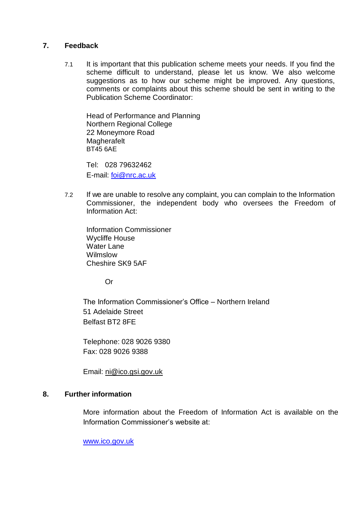#### <span id="page-4-0"></span>**7. Feedback**

7.1 It is important that this publication scheme meets your needs. If you find the scheme difficult to understand, please let us know. We also welcome suggestions as to how our scheme might be improved. Any questions, comments or complaints about this scheme should be sent in writing to the Publication Scheme Coordinator:

Head of Performance and Planning Northern Regional College 22 Moneymore Road **Magherafelt** BT45 6AE

Tel: 028 79632462 E-mail: [foi@nrc.ac.uk](mailto:foi@nrc.ac.uk)

7.2 If we are unable to resolve any complaint, you can complain to the Information Commissioner, the independent body who oversees the Freedom of Information Act:

Information Commissioner Wycliffe House Water Lane Wilmslow Cheshire SK9 5AF

Or

The Information Commissioner's Office – Northern Ireland 51 Adelaide Street Belfast BT2 8FE

Telephone: 028 9026 9380 Fax: 028 9026 9388

Email: [ni@ico.gsi.gov.uk](mailto:ni@ico.gsi.gov.uk)

#### <span id="page-4-1"></span>**8. Further information**

More information about the Freedom of Information Act is available on the Information Commissioner's website at:

[www.ico.gov.uk](http://www.ico.gov.uk/)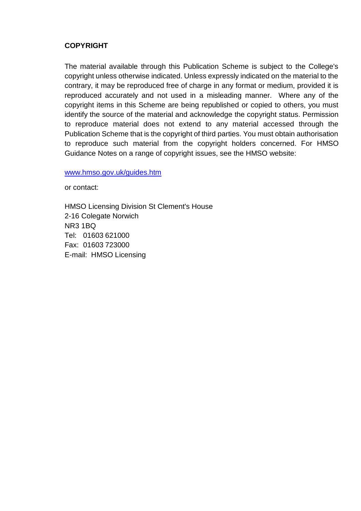#### **COPYRIGHT**

The material available through this Publication Scheme is subject to the College's copyright unless otherwise indicated. Unless expressly indicated on the material to the contrary, it may be reproduced free of charge in any format or medium, provided it is reproduced accurately and not used in a misleading manner. Where any of the copyright items in this Scheme are being republished or copied to others, you must identify the source of the material and acknowledge the copyright status. Permission to reproduce material does not extend to any material accessed through the Publication Scheme that is the copyright of third parties. You must obtain authorisation to reproduce such material from the copyright holders concerned. For HMSO Guidance Notes on a range of copyright issues, see the HMSO website:

[www.hmso.gov.uk/guides.htm](http://www.hmso.gov.uk/guides.htm)

or contact:

HMSO Licensing Division St Clement's House 2-16 Colegate Norwich NR3 1BQ Tel: 01603 621000 Fax: 01603 723000 E-mail: HMSO Licensing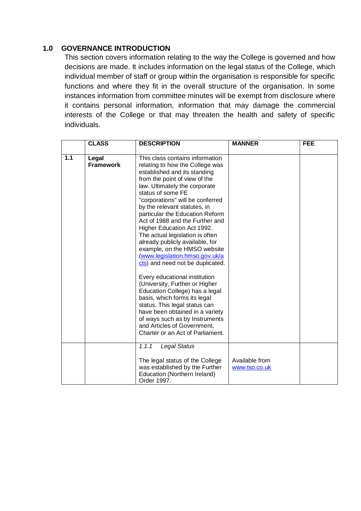#### <span id="page-6-0"></span>**1.0 GOVERNANCE INTRODUCTION**

This section covers information relating to the way the College is governed and how decisions are made. It includes information on the legal status of the College, which individual member of staff or group within the organisation is responsible for specific functions and where they fit in the overall structure of the organisation. In some instances information from committee minutes will be exempt from disclosure where it contains personal information, information that may damage the commercial interests of the College or that may threaten the health and safety of specific individuals.

|     | <b>CLASS</b>              | <b>DESCRIPTION</b>                                                                                                                                                                                                                                                                                                                                                                                                                                                                                                                                                                                                                                                                                                                                                                                                                                          | <b>MANNER</b>                   | <b>FEE</b> |
|-----|---------------------------|-------------------------------------------------------------------------------------------------------------------------------------------------------------------------------------------------------------------------------------------------------------------------------------------------------------------------------------------------------------------------------------------------------------------------------------------------------------------------------------------------------------------------------------------------------------------------------------------------------------------------------------------------------------------------------------------------------------------------------------------------------------------------------------------------------------------------------------------------------------|---------------------------------|------------|
| 1.1 | Legal<br><b>Framework</b> | This class contains information<br>relating to how the College was<br>established and its standing<br>from the point of view of the<br>law. Ultimately the corporate<br>status of some FE<br>"corporations" will be conferred<br>by the relevant statutes, in<br>particular the Education Reform<br>Act of 1988 and the Further and<br>Higher Education Act 1992.<br>The actual legislation is often<br>already publicly available, for<br>example, on the HMSO website<br>(www.legislation.hmso.gov.uk/a<br>cts) and need not be duplicated.<br>Every educational institution<br>(University, Further or Higher<br>Education College) has a legal<br>basis, which forms its legal<br>status. This legal status can<br>have been obtained in a variety<br>of ways such as by Instruments<br>and Articles of Government,<br>Charter or an Act of Parliament. |                                 |            |
|     |                           | 1.1.1<br><b>Legal Status</b><br>The legal status of the College<br>was established by the Further<br>Education (Northern Ireland)<br>Order 1997.                                                                                                                                                                                                                                                                                                                                                                                                                                                                                                                                                                                                                                                                                                            | Available from<br>www.tso.co.uk |            |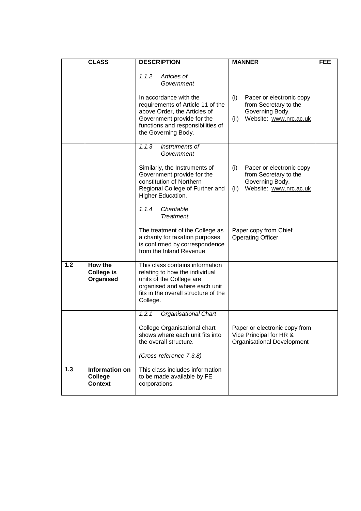|                  | <b>CLASS</b>                                       | <b>DESCRIPTION</b>                                                                                                                                                                                                          | <b>MANNER</b>                                                                                                 | <b>FEE</b> |
|------------------|----------------------------------------------------|-----------------------------------------------------------------------------------------------------------------------------------------------------------------------------------------------------------------------------|---------------------------------------------------------------------------------------------------------------|------------|
|                  |                                                    | 1.1.2<br>Articles of<br>Government<br>In accordance with the<br>requirements of Article 11 of the<br>above Order, the Articles of<br>Government provide for the<br>functions and responsibilities of<br>the Governing Body. | Paper or electronic copy<br>(i)<br>from Secretary to the<br>Governing Body.<br>Website: www.nrc.ac.uk<br>(ii) |            |
|                  |                                                    | 1.1.3<br>Instruments of<br>Government<br>Similarly, the Instruments of<br>Government provide for the<br>constitution of Northern<br>Regional College of Further and<br>Higher Education.                                    | Paper or electronic copy<br>(i)<br>from Secretary to the<br>Governing Body.<br>Website: www.nrc.ac.uk<br>(ii) |            |
|                  |                                                    | Charitable<br>1.1.4<br><b>Treatment</b><br>The treatment of the College as<br>a charity for taxation purposes<br>is confirmed by correspondence<br>from the Inland Revenue                                                  | Paper copy from Chief<br><b>Operating Officer</b>                                                             |            |
| $\overline{1.2}$ | How the<br><b>College is</b><br>Organised          | This class contains information<br>relating to how the individual<br>units of the College are<br>organised and where each unit<br>fits in the overall structure of the<br>College.                                          |                                                                                                               |            |
|                  |                                                    | 1.2.1<br><b>Organisational Chart</b><br>College Organisational chart<br>shows where each unit fits into<br>the overall structure.<br>(Cross-reference 7.3.8)                                                                | Paper or electronic copy from<br>Vice Principal for HR &<br>Organisational Development                        |            |
| $1.3$            | Information on<br><b>College</b><br><b>Context</b> | This class includes information<br>to be made available by FE<br>corporations.                                                                                                                                              |                                                                                                               |            |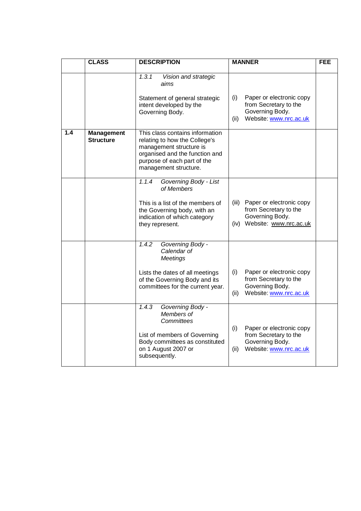|     | <b>CLASS</b>                   | <b>DESCRIPTION</b>                                                                                                                                                                    | <b>MANNER</b>                                                                                                 | <b>FEE</b> |
|-----|--------------------------------|---------------------------------------------------------------------------------------------------------------------------------------------------------------------------------------|---------------------------------------------------------------------------------------------------------------|------------|
|     |                                | 1.3.1<br>Vision and strategic<br>aims<br>Statement of general strategic<br>intent developed by the<br>Governing Body.                                                                 | Paper or electronic copy<br>(i)<br>from Secretary to the<br>Governing Body.<br>Website: www.nrc.ac.uk<br>(ii) |            |
| 1.4 | <b>Management</b><br>Structure | This class contains information<br>relating to how the College's<br>management structure is<br>organised and the function and<br>purpose of each part of the<br>management structure. |                                                                                                               |            |
|     |                                | 1.1.4<br>Governing Body - List<br>of Members<br>This is a list of the members of<br>the Governing body, with an<br>indication of which category<br>they represent.                    | Paper or electronic copy<br>(iii)<br>from Secretary to the<br>Governing Body.<br>(iv) Website: www.nrc.ac.uk  |            |
|     |                                | 1.4.2<br>Governing Body -<br>Calendar of<br>Meetings<br>Lists the dates of all meetings<br>of the Governing Body and its<br>committees for the current year.                          | (i)<br>Paper or electronic copy<br>from Secretary to the<br>Governing Body.<br>(ii)<br>Website: www.nrc.ac.uk |            |
|     |                                | 1.4.3<br>Governing Body -<br>Members of<br>Committees<br>List of members of Governing<br>Body committees as constituted<br>on 1 August 2007 or<br>subsequently.                       | (i)<br>Paper or electronic copy<br>from Secretary to the<br>Governing Body.<br>Website: www.nrc.ac.uk<br>(ii) |            |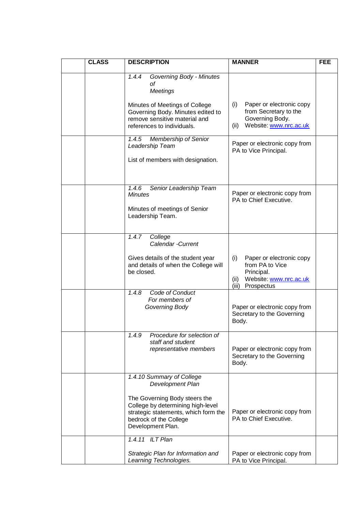| <b>CLASS</b> | <b>DESCRIPTION</b>                                                                                                                                                                                         | <b>MANNER</b>                                                                                                             | <b>FEE</b> |
|--------------|------------------------------------------------------------------------------------------------------------------------------------------------------------------------------------------------------------|---------------------------------------------------------------------------------------------------------------------------|------------|
|              | Governing Body - Minutes<br>1.4.4<br>оf<br><b>Meetings</b>                                                                                                                                                 |                                                                                                                           |            |
|              | Minutes of Meetings of College<br>Governing Body. Minutes edited to<br>remove sensitive material and<br>references to individuals.                                                                         | Paper or electronic copy<br>(i)<br>from Secretary to the<br>Governing Body.<br>Website: www.nrc.ac.uk<br>(ii)             |            |
|              | 1.4.5 Membership of Senior<br>Leadership Team<br>List of members with designation.                                                                                                                         | Paper or electronic copy from<br>PA to Vice Principal.                                                                    |            |
|              | 1.4.6<br>Senior Leadership Team<br>Minutes<br>Minutes of meetings of Senior<br>Leadership Team.                                                                                                            | Paper or electronic copy from<br>PA to Chief Executive.                                                                   |            |
|              | 1.4.7<br>College<br>Calendar -Current<br>Gives details of the student year<br>and details of when the College will<br>be closed.                                                                           | (i)<br>Paper or electronic copy<br>from PA to Vice<br>Principal.<br>Website: www.nrc.ac.uk<br>(ii)<br>(iii)<br>Prospectus |            |
|              | 1.4.8<br>Code of Conduct<br>For members of<br>Governing Body                                                                                                                                               | Paper or electronic copy from<br>Secretary to the Governing<br>Body.                                                      |            |
|              | Procedure for selection of<br>1.4.9<br>staff and student<br>representative members                                                                                                                         | Paper or electronic copy from<br>Secretary to the Governing<br>Body.                                                      |            |
|              | 1.4.10 Summary of College<br>Development Plan<br>The Governing Body steers the<br>College by determining high-level<br>strategic statements, which form the<br>bedrock of the College<br>Development Plan. | Paper or electronic copy from<br>PA to Chief Executive.                                                                   |            |
|              | 1.4.11 ILT Plan<br>Strategic Plan for Information and<br>Learning Technologies.                                                                                                                            | Paper or electronic copy from<br>PA to Vice Principal.                                                                    |            |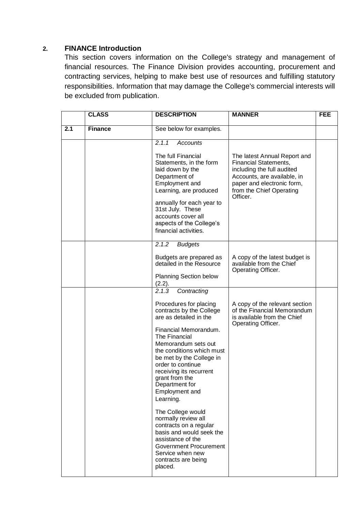#### <span id="page-10-0"></span>**2. FINANCE Introduction**

This section covers information on the College's strategy and management of financial resources. The Finance Division provides accounting, procurement and contracting services, helping to make best use of resources and fulfilling statutory responsibilities. Information that may damage the College's commercial interests will be excluded from publication.

|     | <b>CLASS</b>   | <b>DESCRIPTION</b>                                                                                                                                                                                                                                                                                                                                                                                                                                              | <b>MANNER</b>                                                                                                                                                                                   | <b>FEE</b> |
|-----|----------------|-----------------------------------------------------------------------------------------------------------------------------------------------------------------------------------------------------------------------------------------------------------------------------------------------------------------------------------------------------------------------------------------------------------------------------------------------------------------|-------------------------------------------------------------------------------------------------------------------------------------------------------------------------------------------------|------------|
| 2.1 | <b>Finance</b> | See below for examples.                                                                                                                                                                                                                                                                                                                                                                                                                                         |                                                                                                                                                                                                 |            |
|     |                | 2.1.1<br><b>Accounts</b><br>The full Financial<br>Statements, in the form<br>laid down by the<br>Department of<br>Employment and<br>Learning, are produced<br>annually for each year to<br>31st July. These<br>accounts cover all<br>aspects of the College's<br>financial activities.                                                                                                                                                                          | The latest Annual Report and<br><b>Financial Statements,</b><br>including the full audited<br>Accounts, are available, in<br>paper and electronic form,<br>from the Chief Operating<br>Officer. |            |
|     |                | 2.1.2<br><b>Budgets</b><br>Budgets are prepared as<br>detailed in the Resource<br><b>Planning Section below</b><br>(2.2).<br>2.1.3                                                                                                                                                                                                                                                                                                                              | A copy of the latest budget is<br>available from the Chief<br>Operating Officer.                                                                                                                |            |
|     |                | Contracting<br>Procedures for placing<br>contracts by the College<br>are as detailed in the<br>Financial Memorandum.<br>The Financial<br>Memorandum sets out<br>the conditions which must<br>be met by the College in<br>order to continue<br>receiving its recurrent<br>grant from the<br>Department for<br>Employment and<br>Learning.<br>The College would<br>normally review all<br>contracts on a regular<br>basis and would seek the<br>assistance of the | A copy of the relevant section<br>of the Financial Memorandum<br>is available from the Chief<br>Operating Officer.                                                                              |            |
|     |                | <b>Government Procurement</b><br>Service when new<br>contracts are being<br>placed.                                                                                                                                                                                                                                                                                                                                                                             |                                                                                                                                                                                                 |            |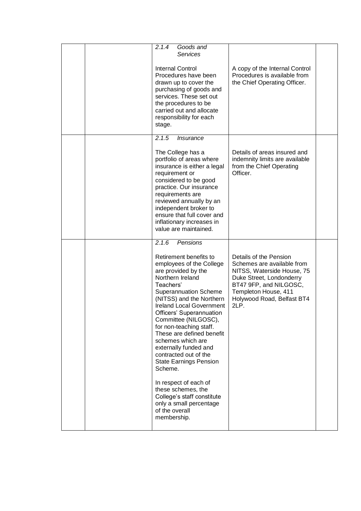|  | 2.1.4<br>Goods and<br><b>Services</b>                                                                                                                                                                                                                                                                                                                                                                                                    |                                                                                                                                                                                                        |  |
|--|------------------------------------------------------------------------------------------------------------------------------------------------------------------------------------------------------------------------------------------------------------------------------------------------------------------------------------------------------------------------------------------------------------------------------------------|--------------------------------------------------------------------------------------------------------------------------------------------------------------------------------------------------------|--|
|  | <b>Internal Control</b><br>Procedures have been<br>drawn up to cover the<br>purchasing of goods and<br>services. These set out<br>the procedures to be<br>carried out and allocate<br>responsibility for each<br>stage.                                                                                                                                                                                                                  | A copy of the Internal Control<br>Procedures is available from<br>the Chief Operating Officer.                                                                                                         |  |
|  | 2.1.5<br><i><b>Insurance</b></i>                                                                                                                                                                                                                                                                                                                                                                                                         |                                                                                                                                                                                                        |  |
|  | The College has a<br>portfolio of areas where<br>insurance is either a legal<br>requirement or<br>considered to be good<br>practice. Our insurance<br>requirements are<br>reviewed annually by an<br>independent broker to<br>ensure that full cover and<br>inflationary increases in<br>value are maintained.                                                                                                                           | Details of areas insured and<br>indemnity limits are available<br>from the Chief Operating<br>Officer.                                                                                                 |  |
|  | 2.1.6<br>Pensions                                                                                                                                                                                                                                                                                                                                                                                                                        |                                                                                                                                                                                                        |  |
|  | Retirement benefits to<br>employees of the College<br>are provided by the<br>Northern Ireland<br>Teachers'<br><b>Superannuation Scheme</b><br>(NITSS) and the Northern<br><b>Ireland Local Government</b><br>Officers' Superannuation<br>Committee (NILGOSC),<br>for non-teaching staff.<br>These are defined benefit<br>schemes which are<br>externally funded and<br>contracted out of the<br><b>State Earnings Pension</b><br>Scheme. | Details of the Pension<br>Schemes are available from<br>NITSS, Waterside House, 75<br>Duke Street, Londonderry<br>BT47 9FP, and NILGOSC,<br>Templeton House, 411<br>Holywood Road, Belfast BT4<br>2LP. |  |
|  | In respect of each of<br>these schemes, the<br>College's staff constitute<br>only a small percentage<br>of the overall                                                                                                                                                                                                                                                                                                                   |                                                                                                                                                                                                        |  |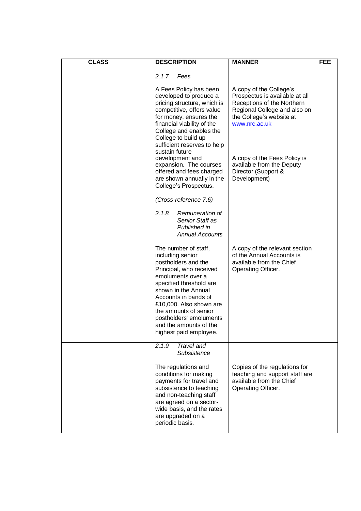| <b>CLASS</b> | <b>DESCRIPTION</b>                                                                                                                                                                                                                                                                                                                                                                                                                               | <b>MANNER</b>                                                                                                                                                                                                                                                            | <b>FEE</b> |
|--------------|--------------------------------------------------------------------------------------------------------------------------------------------------------------------------------------------------------------------------------------------------------------------------------------------------------------------------------------------------------------------------------------------------------------------------------------------------|--------------------------------------------------------------------------------------------------------------------------------------------------------------------------------------------------------------------------------------------------------------------------|------------|
|              | 2.1.7<br>Fees<br>A Fees Policy has been<br>developed to produce a<br>pricing structure, which is<br>competitive, offers value<br>for money, ensures the<br>financial viability of the<br>College and enables the<br>College to build up<br>sufficient reserves to help<br>sustain future<br>development and<br>expansion. The courses<br>offered and fees charged<br>are shown annually in the<br>College's Prospectus.<br>(Cross-reference 7.6) | A copy of the College's<br>Prospectus is available at all<br>Receptions of the Northern<br>Regional College and also on<br>the College's website at<br>www.nrc.ac.uk<br>A copy of the Fees Policy is<br>available from the Deputy<br>Director (Support &<br>Development) |            |
|              | 2.1.8<br>Remuneration of<br>Senior Staff as<br>Published in<br><b>Annual Accounts</b><br>The number of staff,<br>including senior<br>postholders and the<br>Principal, who received<br>emoluments over a<br>specified threshold are<br>shown in the Annual<br>Accounts in bands of<br>£10,000. Also shown are<br>the amounts of senior<br>postholders' emoluments<br>and the amounts of the<br>highest paid employee.                            | A copy of the relevant section<br>of the Annual Accounts is<br>available from the Chief<br>Operating Officer.                                                                                                                                                            |            |
|              | <b>Travel and</b><br>2.1.9<br>Subsistence<br>The regulations and<br>conditions for making<br>payments for travel and<br>subsistence to teaching<br>and non-teaching staff<br>are agreed on a sector-<br>wide basis, and the rates<br>are upgraded on a<br>periodic basis.                                                                                                                                                                        | Copies of the regulations for<br>teaching and support staff are<br>available from the Chief<br>Operating Officer.                                                                                                                                                        |            |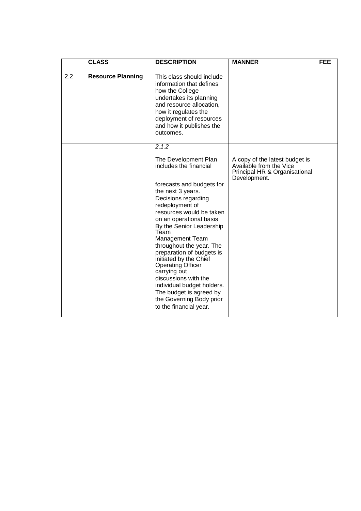|     | <b>CLASS</b>             | <b>DESCRIPTION</b>                                                                                                                                                                                                                                                                                                                                                                                                                                                                                                                    | <b>MANNER</b>                                                                                              | <b>FEE</b> |
|-----|--------------------------|---------------------------------------------------------------------------------------------------------------------------------------------------------------------------------------------------------------------------------------------------------------------------------------------------------------------------------------------------------------------------------------------------------------------------------------------------------------------------------------------------------------------------------------|------------------------------------------------------------------------------------------------------------|------------|
| 2.2 | <b>Resource Planning</b> | This class should include<br>information that defines<br>how the College<br>undertakes its planning<br>and resource allocation,<br>how it regulates the<br>deployment of resources<br>and how it publishes the<br>outcomes.                                                                                                                                                                                                                                                                                                           |                                                                                                            |            |
|     |                          | 2.1.2                                                                                                                                                                                                                                                                                                                                                                                                                                                                                                                                 |                                                                                                            |            |
|     |                          | The Development Plan<br>includes the financial<br>forecasts and budgets for<br>the next 3 years.<br>Decisions regarding<br>redeployment of<br>resources would be taken<br>on an operational basis<br>By the Senior Leadership<br>Team<br><b>Management Team</b><br>throughout the year. The<br>preparation of budgets is<br>initiated by the Chief<br><b>Operating Officer</b><br>carrying out<br>discussions with the<br>individual budget holders.<br>The budget is agreed by<br>the Governing Body prior<br>to the financial year. | A copy of the latest budget is<br>Available from the Vice<br>Principal HR & Organisational<br>Development. |            |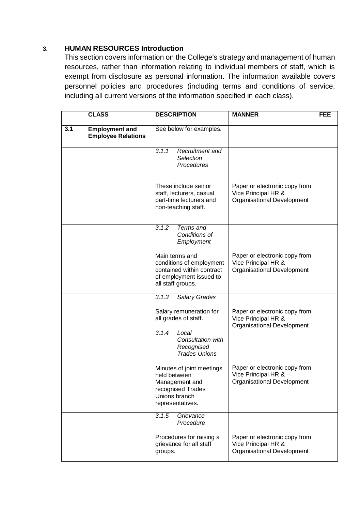#### <span id="page-14-0"></span>**3. HUMAN RESOURCES Introduction**

This section covers information on the College's strategy and management of human resources, rather than information relating to individual members of staff, which is exempt from disclosure as personal information. The information available covers personnel policies and procedures (including terms and conditions of service, including all current versions of the information specified in each class).

|     | <b>CLASS</b>                                       | <b>DESCRIPTION</b>                                                                                                      | <b>MANNER</b>                                                                             | <b>FEE</b> |
|-----|----------------------------------------------------|-------------------------------------------------------------------------------------------------------------------------|-------------------------------------------------------------------------------------------|------------|
| 3.1 | <b>Employment and</b><br><b>Employee Relations</b> | See below for examples.                                                                                                 |                                                                                           |            |
|     |                                                    | 3.1.1<br>Recruitment and<br>Selection<br>Procedures                                                                     |                                                                                           |            |
|     |                                                    | These include senior<br>staff, lecturers, casual<br>part-time lecturers and<br>non-teaching staff.                      | Paper or electronic copy from<br>Vice Principal HR &<br>Organisational Development        |            |
|     |                                                    | 3.1.2<br>Terms and<br>Conditions of<br>Employment                                                                       |                                                                                           |            |
|     |                                                    | Main terms and<br>conditions of employment<br>contained within contract<br>of employment issued to<br>all staff groups. | Paper or electronic copy from<br>Vice Principal HR &<br>Organisational Development        |            |
|     |                                                    | 3.1.3<br><b>Salary Grades</b>                                                                                           |                                                                                           |            |
|     |                                                    | Salary remuneration for<br>all grades of staff.                                                                         | Paper or electronic copy from<br>Vice Principal HR &<br>Organisational Development        |            |
|     |                                                    | 3.1.4<br>Local<br>Consultation with<br>Recognised<br><b>Trades Unions</b>                                               |                                                                                           |            |
|     |                                                    | Minutes of joint meetings<br>held between<br>Management and<br>recognised Trades<br>Unions branch<br>representatives.   | Paper or electronic copy from<br>Vice Principal HR &<br><b>Organisational Development</b> |            |
|     |                                                    | 3.1.5<br>Grievance<br>Procedure                                                                                         |                                                                                           |            |
|     |                                                    | Procedures for raising a<br>grievance for all staff<br>groups.                                                          | Paper or electronic copy from<br>Vice Principal HR &<br>Organisational Development        |            |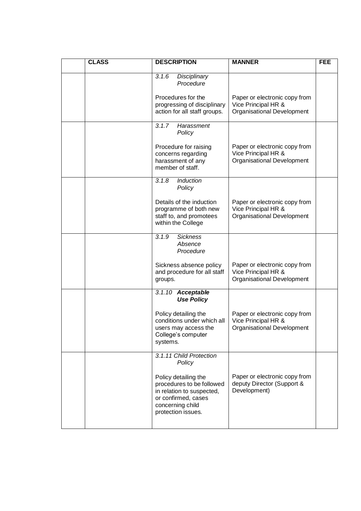| <b>CLASS</b> |          | <b>DESCRIPTION</b>                                                                                                                              | <b>MANNER</b>                                                                      | <b>FEE</b> |
|--------------|----------|-------------------------------------------------------------------------------------------------------------------------------------------------|------------------------------------------------------------------------------------|------------|
|              | 3.1.6    | Disciplinary<br>Procedure                                                                                                                       |                                                                                    |            |
|              |          | Procedures for the<br>progressing of disciplinary<br>action for all staff groups.                                                               | Paper or electronic copy from<br>Vice Principal HR &<br>Organisational Development |            |
|              | 3.1.7    | Harassment<br>Policy                                                                                                                            |                                                                                    |            |
|              |          | Procedure for raising<br>concerns regarding<br>harassment of any<br>member of staff.                                                            | Paper or electronic copy from<br>Vice Principal HR &<br>Organisational Development |            |
|              | 3.1.8    | Induction<br>Policy                                                                                                                             |                                                                                    |            |
|              |          | Details of the induction<br>programme of both new<br>staff to, and promotees<br>within the College                                              | Paper or electronic copy from<br>Vice Principal HR &<br>Organisational Development |            |
|              | 3.1.9    | <b>Sickness</b><br>Absence<br>Procedure                                                                                                         |                                                                                    |            |
|              | groups.  | Sickness absence policy<br>and procedure for all staff                                                                                          | Paper or electronic copy from<br>Vice Principal HR &<br>Organisational Development |            |
|              |          | 3.1.10 Acceptable<br><b>Use Policy</b>                                                                                                          |                                                                                    |            |
|              | systems. | Policy detailing the<br>conditions under which all<br>users may access the<br>College's computer                                                | Paper or electronic copy from<br>Vice Principal HR &<br>Organisational Development |            |
|              |          | 3.1.11 Child Protection<br>Policy                                                                                                               |                                                                                    |            |
|              |          | Policy detailing the<br>procedures to be followed<br>in relation to suspected,<br>or confirmed, cases<br>concerning child<br>protection issues. | Paper or electronic copy from<br>deputy Director (Support &<br>Development)        |            |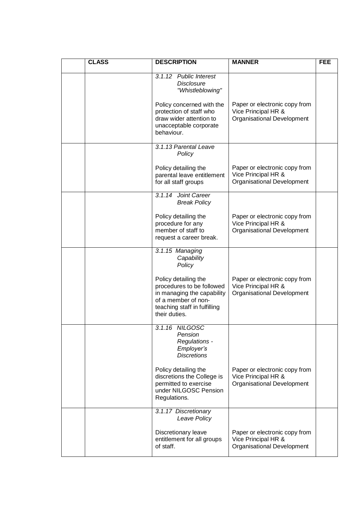| <b>CLASS</b> | <b>DESCRIPTION</b>                                                                                                                                      | <b>MANNER</b>                                                                      | <b>FEE</b> |
|--------------|---------------------------------------------------------------------------------------------------------------------------------------------------------|------------------------------------------------------------------------------------|------------|
|              | 3.1.12 Public Interest<br><b>Disclosure</b><br>"Whistleblowing"                                                                                         |                                                                                    |            |
|              | Policy concerned with the<br>protection of staff who<br>draw wider attention to<br>unacceptable corporate<br>behaviour.                                 | Paper or electronic copy from<br>Vice Principal HR &<br>Organisational Development |            |
|              | 3.1.13 Parental Leave<br>Policy                                                                                                                         |                                                                                    |            |
|              | Policy detailing the<br>parental leave entitlement<br>for all staff groups                                                                              | Paper or electronic copy from<br>Vice Principal HR &<br>Organisational Development |            |
|              | 3.1.14<br><b>Joint Career</b><br><b>Break Policy</b>                                                                                                    |                                                                                    |            |
|              | Policy detailing the<br>procedure for any<br>member of staff to<br>request a career break.                                                              | Paper or electronic copy from<br>Vice Principal HR &<br>Organisational Development |            |
|              | 3.1.15 Managing<br>Capability<br>Policy                                                                                                                 |                                                                                    |            |
|              | Policy detailing the<br>procedures to be followed<br>in managing the capability<br>of a member of non-<br>teaching staff in fulfilling<br>their duties. | Paper or electronic copy from<br>Vice Principal HR &<br>Organisational Development |            |
|              | 3.1.16 NILGOSC<br>Pension<br>Regulations -<br>Employer's<br><b>Discretions</b>                                                                          |                                                                                    |            |
|              | Policy detailing the<br>discretions the College is<br>permitted to exercise<br>under NILGOSC Pension<br>Regulations.                                    | Paper or electronic copy from<br>Vice Principal HR &<br>Organisational Development |            |
|              | 3.1.17 Discretionary<br>Leave Policy                                                                                                                    |                                                                                    |            |
|              | Discretionary leave<br>entitlement for all groups<br>of staff.                                                                                          | Paper or electronic copy from<br>Vice Principal HR &<br>Organisational Development |            |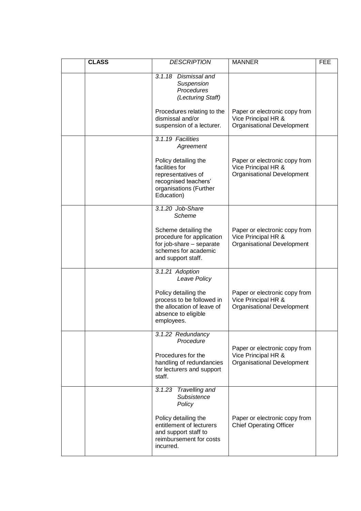| <b>CLASS</b> | <b>DESCRIPTION</b>                                                                                                           | <b>MANNER</b>                                                                      | <b>FEE</b> |
|--------------|------------------------------------------------------------------------------------------------------------------------------|------------------------------------------------------------------------------------|------------|
|              | 3.1.18 Dismissal and<br>Suspension<br>Procedures<br>(Lecturing Staff)                                                        |                                                                                    |            |
|              | Procedures relating to the<br>dismissal and/or<br>suspension of a lecturer.                                                  | Paper or electronic copy from<br>Vice Principal HR &<br>Organisational Development |            |
|              | 3.1.19 Facilities<br>Agreement                                                                                               |                                                                                    |            |
|              | Policy detailing the<br>facilities for<br>representatives of<br>recognised teachers'<br>organisations (Further<br>Education) | Paper or electronic copy from<br>Vice Principal HR &<br>Organisational Development |            |
|              | 3.1.20 Job-Share<br>Scheme                                                                                                   |                                                                                    |            |
|              | Scheme detailing the<br>procedure for application<br>for job-share - separate<br>schemes for academic<br>and support staff.  | Paper or electronic copy from<br>Vice Principal HR &<br>Organisational Development |            |
|              | 3.1.21 Adoption<br>Leave Policy                                                                                              |                                                                                    |            |
|              | Policy detailing the<br>process to be followed in<br>the allocation of leave of<br>absence to eligible<br>employees.         | Paper or electronic copy from<br>Vice Principal HR &<br>Organisational Development |            |
|              | 3.1.22 Redundancy<br>Procedure<br>Procedures for the<br>handling of redundancies<br>for lecturers and support<br>staff.      | Paper or electronic copy from<br>Vice Principal HR &<br>Organisational Development |            |
|              | Travelling and<br>3.1.23<br>Subsistence<br>Policy                                                                            |                                                                                    |            |
|              | Policy detailing the<br>entitlement of lecturers<br>and support staff to<br>reimbursement for costs<br>incurred.             | Paper or electronic copy from<br><b>Chief Operating Officer</b>                    |            |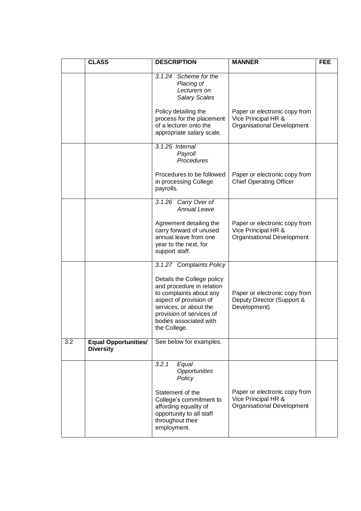|     | <b>CLASS</b>                                    | <b>DESCRIPTION</b>                                                                                                                                                                                                                       | <b>MANNER</b>                                                                             | <b>FEE</b> |
|-----|-------------------------------------------------|------------------------------------------------------------------------------------------------------------------------------------------------------------------------------------------------------------------------------------------|-------------------------------------------------------------------------------------------|------------|
|     |                                                 | 3.1.24<br>Scheme for the<br>Placing of<br>Lecturers on<br><b>Salary Scales</b>                                                                                                                                                           |                                                                                           |            |
|     |                                                 | Policy detailing the<br>process for the placement<br>of a lecturer onto the<br>appropriate salary scale.                                                                                                                                 | Paper or electronic copy from<br>Vice Principal HR &<br>Organisational Development        |            |
|     |                                                 | $3.1.25$ Internal<br>Payroll<br>Procedures                                                                                                                                                                                               |                                                                                           |            |
|     |                                                 | Procedures to be followed<br>in processing College<br>payrolls.                                                                                                                                                                          | Paper or electronic copy from<br><b>Chief Operating Officer</b>                           |            |
|     |                                                 | 3.1.26 Carry Over of<br><b>Annual Leave</b>                                                                                                                                                                                              |                                                                                           |            |
|     |                                                 | Agreement detailing the<br>carry forward of unused<br>annual leave from one<br>year to the next, for<br>support staff.                                                                                                                   | Paper or electronic copy from<br>Vice Principal HR &<br><b>Organisational Development</b> |            |
|     |                                                 | 3.1.27 Complaints Policy<br>Details the College policy<br>and procedure in relation<br>to complaints about any<br>aspect of provision of<br>services, or about the<br>provision of services of<br>bodies associated with<br>the College. | Paper or electronic copy from<br>Deputy Director (Support &<br>Development)               |            |
| 3.2 | <b>Equal Opportunities/</b><br><b>Diversity</b> | See below for examples.                                                                                                                                                                                                                  |                                                                                           |            |
|     |                                                 | 3.2.1<br>Equal<br>Opportunities<br>Policy<br>Statement of the<br>College's commitment to<br>affording equality of<br>opportunity to all staff<br>throughout their<br>employment.                                                         | Paper or electronic copy from<br>Vice Principal HR &<br>Organisational Development        |            |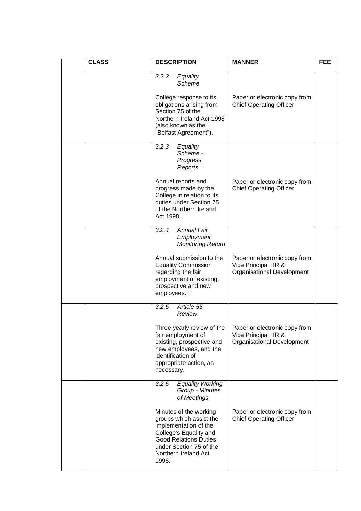| <b>CLASS</b> | <b>DESCRIPTION</b>                                                                                                                                                                               | <b>MANNER</b>                                                                             | <b>FEE</b> |
|--------------|--------------------------------------------------------------------------------------------------------------------------------------------------------------------------------------------------|-------------------------------------------------------------------------------------------|------------|
|              | 3.2.2<br>Equality<br>Scheme                                                                                                                                                                      |                                                                                           |            |
|              | College response to its<br>obligations arising from<br>Section 75 of the<br>Northern Ireland Act 1998<br>(also known as the<br>"Belfast Agreement").                                             | Paper or electronic copy from<br><b>Chief Operating Officer</b>                           |            |
|              | 3.2.3<br>Equality<br>Scheme -<br>Progress<br>Reports                                                                                                                                             |                                                                                           |            |
|              | Annual reports and<br>progress made by the<br>College in relation to its<br>duties under Section 75<br>of the Northern Ireland<br>Act 1998.                                                      | Paper or electronic copy from<br><b>Chief Operating Officer</b>                           |            |
|              | 3.2.4<br><b>Annual Fair</b><br>Employment<br><b>Monitoring Return</b>                                                                                                                            |                                                                                           |            |
|              | Annual submission to the<br><b>Equality Commission</b><br>regarding the fair<br>employment of existing,<br>prospective and new<br>employees.                                                     | Paper or electronic copy from<br>Vice Principal HR &<br><b>Organisational Development</b> |            |
|              | Article 55<br>3.2.5<br>Review                                                                                                                                                                    |                                                                                           |            |
|              | Three yearly review of the<br>fair employment of<br>existing, prospective and<br>new employees, and the<br>identification of<br>appropriate action, as<br>necessary.                             | Paper or electronic copy from<br>Vice Principal HR &<br><b>Organisational Development</b> |            |
|              | 3.2.6<br><b>Equality Working</b><br>Group - Minutes<br>of Meetings                                                                                                                               |                                                                                           |            |
|              | Minutes of the working<br>groups which assist the<br>implementation of the<br>College's Equality and<br><b>Good Relations Duties</b><br>under Section 75 of the<br>Northern Ireland Act<br>1998. | Paper or electronic copy from<br><b>Chief Operating Officer</b>                           |            |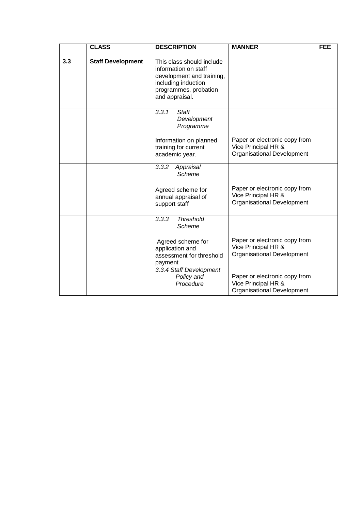|     | <b>CLASS</b>             | <b>DESCRIPTION</b>                                                                                                                               | <b>MANNER</b>                                                                             | <b>FEE</b> |
|-----|--------------------------|--------------------------------------------------------------------------------------------------------------------------------------------------|-------------------------------------------------------------------------------------------|------------|
| 3.3 | <b>Staff Development</b> | This class should include<br>information on staff<br>development and training,<br>including induction<br>programmes, probation<br>and appraisal. |                                                                                           |            |
|     |                          | 3.3.1<br><b>Staff</b><br>Development<br>Programme<br>Information on planned<br>training for current<br>academic year.                            | Paper or electronic copy from<br>Vice Principal HR &<br><b>Organisational Development</b> |            |
|     |                          | 3.3.2<br>Appraisal<br>Scheme<br>Agreed scheme for<br>annual appraisal of<br>support staff                                                        | Paper or electronic copy from<br>Vice Principal HR &<br><b>Organisational Development</b> |            |
|     |                          | <b>Threshold</b><br>3.3.3<br>Scheme<br>Agreed scheme for<br>application and<br>assessment for threshold<br>payment<br>3.3.4 Staff Development    | Paper or electronic copy from<br>Vice Principal HR &<br><b>Organisational Development</b> |            |
|     |                          | Policy and<br>Procedure                                                                                                                          | Paper or electronic copy from<br>Vice Principal HR &<br>Organisational Development        |            |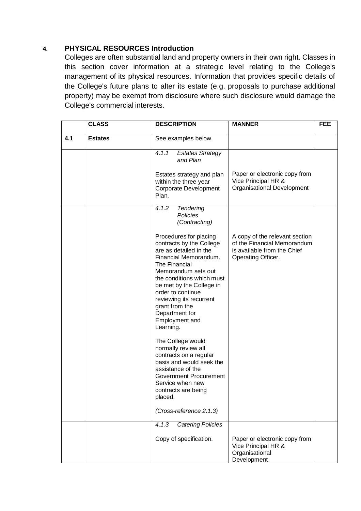#### <span id="page-21-0"></span>**4. PHYSICAL RESOURCES Introduction**

Colleges are often substantial land and property owners in their own right. Classes in this section cover information at a strategic level relating to the College's management of its physical resources. Information that provides specific details of the College's future plans to alter its estate (e.g. proposals to purchase additional property) may be exempt from disclosure where such disclosure would damage the College's commercial interests.

|     | <b>CLASS</b>   | <b>DESCRIPTION</b>                                                                                                                                                                                                                                                                                                        | <b>MANNER</b>                                                                                                      | <b>FEE</b> |
|-----|----------------|---------------------------------------------------------------------------------------------------------------------------------------------------------------------------------------------------------------------------------------------------------------------------------------------------------------------------|--------------------------------------------------------------------------------------------------------------------|------------|
| 4.1 | <b>Estates</b> | See examples below.                                                                                                                                                                                                                                                                                                       |                                                                                                                    |            |
|     |                | 4.1.1<br><b>Estates Strategy</b><br>and Plan                                                                                                                                                                                                                                                                              |                                                                                                                    |            |
|     |                | Estates strategy and plan<br>within the three year<br><b>Corporate Development</b><br>Plan.                                                                                                                                                                                                                               | Paper or electronic copy from<br>Vice Principal HR &<br><b>Organisational Development</b>                          |            |
|     |                | 4.1.2<br><b>Tendering</b><br>Policies<br>(Contracting)                                                                                                                                                                                                                                                                    |                                                                                                                    |            |
|     |                | Procedures for placing<br>contracts by the College<br>are as detailed in the<br>Financial Memorandum.<br>The Financial<br>Memorandum sets out<br>the conditions which must<br>be met by the College in<br>order to continue<br>reviewing its recurrent<br>grant from the<br>Department for<br>Employment and<br>Learning. | A copy of the relevant section<br>of the Financial Memorandum<br>is available from the Chief<br>Operating Officer. |            |
|     |                | The College would<br>normally review all<br>contracts on a regular<br>basis and would seek the<br>assistance of the<br><b>Government Procurement</b><br>Service when new<br>contracts are being<br>placed.                                                                                                                |                                                                                                                    |            |
|     |                | (Cross-reference 2.1.3)                                                                                                                                                                                                                                                                                                   |                                                                                                                    |            |
|     |                | <b>Catering Policies</b><br>4.1.3                                                                                                                                                                                                                                                                                         |                                                                                                                    |            |
|     |                | Copy of specification.                                                                                                                                                                                                                                                                                                    | Paper or electronic copy from<br>Vice Principal HR &<br>Organisational<br>Development                              |            |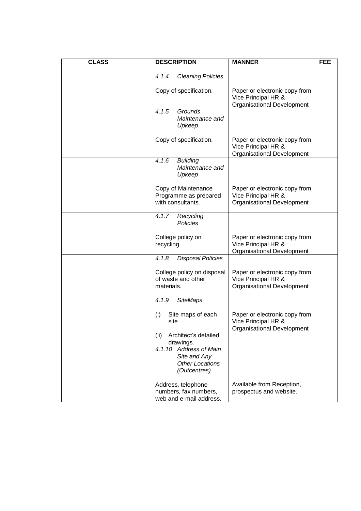| <b>CLASS</b> | <b>DESCRIPTION</b>                                                               | <b>MANNER</b>                                                                      | <b>FEE</b> |
|--------------|----------------------------------------------------------------------------------|------------------------------------------------------------------------------------|------------|
|              | 4.1.4<br><b>Cleaning Policies</b>                                                |                                                                                    |            |
|              | Copy of specification.                                                           | Paper or electronic copy from<br>Vice Principal HR &<br>Organisational Development |            |
|              | 4.1.5<br>Grounds<br>Maintenance and<br>Upkeep                                    |                                                                                    |            |
|              | Copy of specification.                                                           | Paper or electronic copy from<br>Vice Principal HR &<br>Organisational Development |            |
|              | 4.1.6<br><b>Building</b><br>Maintenance and<br>Upkeep                            |                                                                                    |            |
|              | Copy of Maintenance<br>Programme as prepared<br>with consultants.                | Paper or electronic copy from<br>Vice Principal HR &<br>Organisational Development |            |
|              | 4.1.7<br>Recycling<br>Policies                                                   |                                                                                    |            |
|              | College policy on<br>recycling.                                                  | Paper or electronic copy from<br>Vice Principal HR &<br>Organisational Development |            |
|              | 4.1.8<br><b>Disposal Policies</b>                                                |                                                                                    |            |
|              | College policy on disposal<br>of waste and other<br>materials.                   | Paper or electronic copy from<br>Vice Principal HR &<br>Organisational Development |            |
|              | <b>SiteMaps</b><br>4.1.9                                                         |                                                                                    |            |
|              | (i)<br>Site maps of each<br>site<br>(ii)<br>Architect's detailed                 | Paper or electronic copy from<br>Vice Principal HR &<br>Organisational Development |            |
|              | drawings.                                                                        |                                                                                    |            |
|              | 4.1.10 Address of Main<br>Site and Any<br><b>Other Locations</b><br>(Outcentres) |                                                                                    |            |
|              | Address, telephone<br>numbers, fax numbers,<br>web and e-mail address.           | Available from Reception,<br>prospectus and website.                               |            |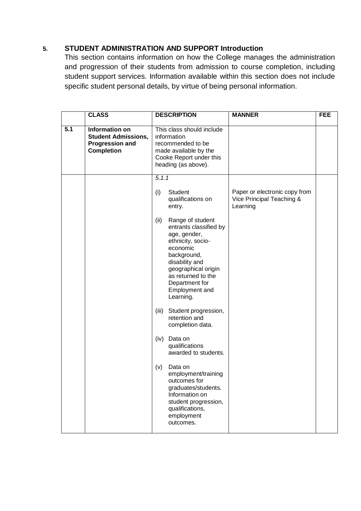#### <span id="page-23-0"></span>**5. STUDENT ADMINISTRATION AND SUPPORT Introduction**

This section contains information on how the College manages the administration and progression of their students from admission to course completion, including student support services. Information available within this section does not include specific student personal details, by virtue of being personal information.

|     | <b>CLASS</b>                                                                                       | <b>DESCRIPTION</b>                                                                                                                                                                                                                 | <b>MANNER</b>                                                          | <b>FEE</b> |
|-----|----------------------------------------------------------------------------------------------------|------------------------------------------------------------------------------------------------------------------------------------------------------------------------------------------------------------------------------------|------------------------------------------------------------------------|------------|
| 5.1 | <b>Information on</b><br><b>Student Admissions,</b><br><b>Progression and</b><br><b>Completion</b> | This class should include<br>information<br>recommended to be<br>made available by the<br>Cooke Report under this<br>heading (as above).                                                                                           |                                                                        |            |
|     |                                                                                                    | 5.1.1                                                                                                                                                                                                                              |                                                                        |            |
|     |                                                                                                    | (i)<br>Student<br>qualifications on<br>entry.                                                                                                                                                                                      | Paper or electronic copy from<br>Vice Principal Teaching &<br>Learning |            |
|     |                                                                                                    | Range of student<br>(ii)<br>entrants classified by<br>age, gender,<br>ethnicity, socio-<br>economic<br>background,<br>disability and<br>geographical origin<br>as returned to the<br>Department for<br>Employment and<br>Learning. |                                                                        |            |
|     |                                                                                                    | (iii)<br>Student progression,<br>retention and<br>completion data.                                                                                                                                                                 |                                                                        |            |
|     |                                                                                                    | Data on<br>(iv)<br>qualifications<br>awarded to students.                                                                                                                                                                          |                                                                        |            |
|     |                                                                                                    | (v)<br>Data on<br>employment/training<br>outcomes for<br>graduates/students.<br>Information on<br>student progression,<br>qualifications,<br>employment<br>outcomes.                                                               |                                                                        |            |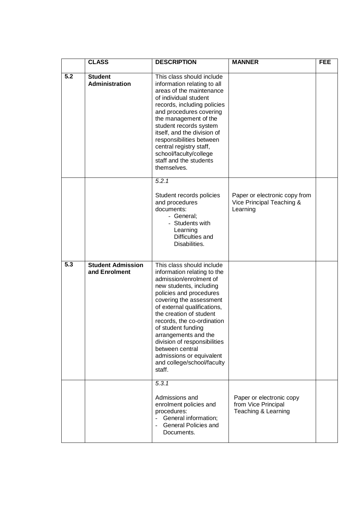|                  | <b>CLASS</b>                              | <b>DESCRIPTION</b>                                                                                                                                                                                                                                                                                                                                                                                                               | <b>MANNER</b>                                                          | <b>FEE</b> |
|------------------|-------------------------------------------|----------------------------------------------------------------------------------------------------------------------------------------------------------------------------------------------------------------------------------------------------------------------------------------------------------------------------------------------------------------------------------------------------------------------------------|------------------------------------------------------------------------|------------|
| 5.2              | <b>Student</b><br>Administration          | This class should include<br>information relating to all<br>areas of the maintenance<br>of individual student<br>records, including policies<br>and procedures covering<br>the management of the<br>student records system<br>itself, and the division of<br>responsibilities between<br>central registry staff,<br>school/faculty/college<br>staff and the students<br>themselves.                                              |                                                                        |            |
|                  |                                           | 5.2.1<br>Student records policies<br>and procedures<br>documents:<br>- General;<br>- Students with<br>Learning<br>Difficulties and<br>Disabilities.                                                                                                                                                                                                                                                                              | Paper or electronic copy from<br>Vice Principal Teaching &<br>Learning |            |
| $\overline{5.3}$ | <b>Student Admission</b><br>and Enrolment | This class should include<br>information relating to the<br>admission/enrolment of<br>new students, including<br>policies and procedures<br>covering the assessment<br>of external qualifications,<br>the creation of student<br>records, the co-ordination<br>of student funding<br>arrangements and the<br>division of responsibilities<br>between central<br>admissions or equivalent<br>and college/school/faculty<br>staff. |                                                                        |            |
|                  |                                           | 5.3.1<br>Admissions and<br>enrolment policies and<br>procedures:<br>General information;<br>$\equiv$<br><b>General Policies and</b><br>Documents.                                                                                                                                                                                                                                                                                | Paper or electronic copy<br>from Vice Principal<br>Teaching & Learning |            |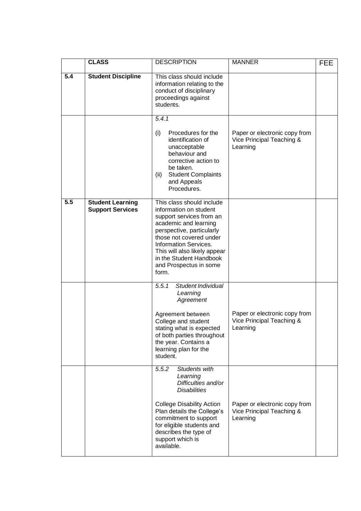|                  | <b>CLASS</b>                                       | <b>DESCRIPTION</b>                                                                                                                                                                                                                                                                             | <b>MANNER</b>                                                          | <b>FEE</b> |
|------------------|----------------------------------------------------|------------------------------------------------------------------------------------------------------------------------------------------------------------------------------------------------------------------------------------------------------------------------------------------------|------------------------------------------------------------------------|------------|
| $\overline{5.4}$ | <b>Student Discipline</b>                          | This class should include<br>information relating to the<br>conduct of disciplinary<br>proceedings against<br>students.                                                                                                                                                                        |                                                                        |            |
|                  |                                                    | 5.4.1<br>(i)<br>Procedures for the<br>identification of<br>unacceptable<br>behaviour and<br>corrective action to<br>be taken.<br><b>Student Complaints</b><br>(ii)<br>and Appeals<br>Procedures.                                                                                               | Paper or electronic copy from<br>Vice Principal Teaching &<br>Learning |            |
| $\overline{5.5}$ | <b>Student Learning</b><br><b>Support Services</b> | This class should include<br>information on student<br>support services from an<br>academic and learning<br>perspective, particularly<br>those not covered under<br><b>Information Services.</b><br>This will also likely appear<br>in the Student Handbook<br>and Prospectus in some<br>form. |                                                                        |            |
|                  |                                                    | Student Individual<br>5.5.1<br>Learning<br>Agreement<br>Agreement between<br>College and student<br>stating what is expected<br>of both parties throughout<br>the year. Contains a<br>learning plan for the<br>student.                                                                        | Paper or electronic copy from<br>Vice Principal Teaching &<br>Learning |            |
|                  |                                                    | 5.5.2<br>Students with<br>Learning<br>Difficulties and/or<br><b>Disabilities</b><br><b>College Disability Action</b><br>Plan details the College's<br>commitment to support<br>for eligible students and<br>describes the type of<br>support which is<br>available.                            | Paper or electronic copy from<br>Vice Principal Teaching &<br>Learning |            |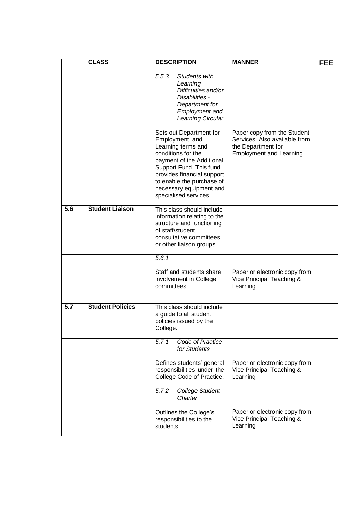|     | <b>CLASS</b>            | <b>DESCRIPTION</b>                                                                                                                                                                                                                                           | <b>MANNER</b>                                                                                                  | <b>FEE</b> |
|-----|-------------------------|--------------------------------------------------------------------------------------------------------------------------------------------------------------------------------------------------------------------------------------------------------------|----------------------------------------------------------------------------------------------------------------|------------|
|     |                         | <b>Students with</b><br>5.5.3<br>Learning<br>Difficulties and/or<br>Disabilities -<br>Department for<br><b>Employment and</b><br>Learning Circular                                                                                                           |                                                                                                                |            |
|     |                         | Sets out Department for<br>Employment and<br>Learning terms and<br>conditions for the<br>payment of the Additional<br>Support Fund. This fund<br>provides financial support<br>to enable the purchase of<br>necessary equipment and<br>specialised services. | Paper copy from the Student<br>Services. Also available from<br>the Department for<br>Employment and Learning. |            |
| 5.6 | <b>Student Liaison</b>  | This class should include<br>information relating to the<br>structure and functioning<br>of staff/student<br>consultative committees<br>or other liaison groups.                                                                                             |                                                                                                                |            |
|     |                         | 5.6.1<br>Staff and students share<br>involvement in College<br>committees.                                                                                                                                                                                   | Paper or electronic copy from<br>Vice Principal Teaching &<br>Learning                                         |            |
| 5.7 | <b>Student Policies</b> | This class should include<br>a guide to all student<br>policies issued by the<br>College.                                                                                                                                                                    |                                                                                                                |            |
|     |                         | Code of Practice<br>5.7.1<br>for Students                                                                                                                                                                                                                    |                                                                                                                |            |
|     |                         | Defines students' general<br>responsibilities under the<br>College Code of Practice.                                                                                                                                                                         | Paper or electronic copy from<br>Vice Principal Teaching &<br>Learning                                         |            |
|     |                         | 5.7.2<br><b>College Student</b><br>Charter                                                                                                                                                                                                                   |                                                                                                                |            |
|     |                         | Outlines the College's<br>responsibilities to the<br>students.                                                                                                                                                                                               | Paper or electronic copy from<br>Vice Principal Teaching &<br>Learning                                         |            |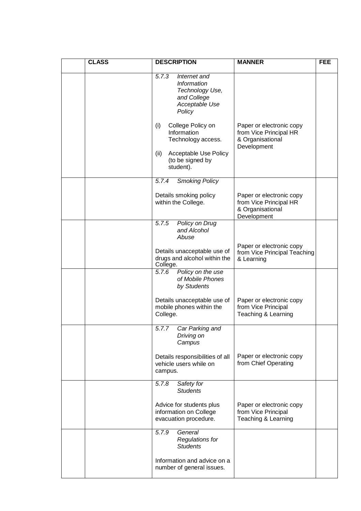| <b>CLASS</b> | <b>DESCRIPTION</b>                                                                                                              | <b>MANNER</b>                                                                         | <b>FEE</b> |
|--------------|---------------------------------------------------------------------------------------------------------------------------------|---------------------------------------------------------------------------------------|------------|
|              | 5.7.3<br>Internet and<br>Information<br>Technology Use,<br>and College<br>Acceptable Use<br>Policy                              |                                                                                       |            |
|              | (i)<br>College Policy on<br>Information<br>Technology access.<br>(ii)<br>Acceptable Use Policy<br>(to be signed by<br>student). | Paper or electronic copy<br>from Vice Principal HR<br>& Organisational<br>Development |            |
|              | 5.7.4<br><b>Smoking Policy</b>                                                                                                  |                                                                                       |            |
|              | Details smoking policy<br>within the College.                                                                                   | Paper or electronic copy<br>from Vice Principal HR<br>& Organisational<br>Development |            |
|              | 5.7.5<br>Policy on Drug<br>and Alcohol<br>Abuse                                                                                 |                                                                                       |            |
|              | Details unacceptable use of<br>drugs and alcohol within the<br>College.                                                         | Paper or electronic copy<br>from Vice Principal Teaching<br>& Learning                |            |
|              | 5.7.6<br>Policy on the use<br>of Mobile Phones<br>by Students                                                                   |                                                                                       |            |
|              | Details unacceptable use of<br>mobile phones within the<br>College.                                                             | Paper or electronic copy<br>from Vice Principal<br>Teaching & Learning                |            |
|              | 5.7.7<br>Car Parking and<br>Driving on<br>Campus                                                                                |                                                                                       |            |
|              | Details responsibilities of all<br>vehicle users while on<br>campus.                                                            | Paper or electronic copy<br>from Chief Operating                                      |            |
|              | 5.7.8<br>Safety for<br><b>Students</b>                                                                                          |                                                                                       |            |
|              | Advice for students plus<br>information on College<br>evacuation procedure.                                                     | Paper or electronic copy<br>from Vice Principal<br>Teaching & Learning                |            |
|              | General<br>5.7.9<br><b>Regulations for</b><br><b>Students</b>                                                                   |                                                                                       |            |
|              | Information and advice on a<br>number of general issues.                                                                        |                                                                                       |            |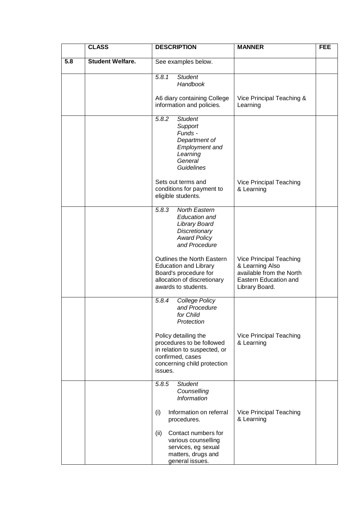|     | <b>CLASS</b>            | <b>DESCRIPTION</b>                                                                                                                              | <b>MANNER</b>                                                                                                     | <b>FEE</b> |
|-----|-------------------------|-------------------------------------------------------------------------------------------------------------------------------------------------|-------------------------------------------------------------------------------------------------------------------|------------|
| 5.8 | <b>Student Welfare.</b> | See examples below.                                                                                                                             |                                                                                                                   |            |
|     |                         | 5.8.1<br><b>Student</b><br>Handbook                                                                                                             |                                                                                                                   |            |
|     |                         | A6 diary containing College<br>information and policies.                                                                                        | Vice Principal Teaching &<br>Learning                                                                             |            |
|     |                         | <b>Student</b><br>5.8.2<br>Support<br>Funds -<br>Department of<br><b>Employment and</b><br>Learning<br>General<br><b>Guidelines</b>             |                                                                                                                   |            |
|     |                         | Sets out terms and<br>conditions for payment to<br>eligible students.                                                                           | Vice Principal Teaching<br>& Learning                                                                             |            |
|     |                         | <b>North Eastern</b><br>5.8.3<br><b>Education and</b><br>Library Board<br>Discretionary<br><b>Award Policy</b><br>and Procedure                 |                                                                                                                   |            |
|     |                         | Outlines the North Eastern<br><b>Education and Library</b><br>Board's procedure for<br>allocation of discretionary<br>awards to students.       | Vice Principal Teaching<br>& Learning Also<br>available from the North<br>Eastern Education and<br>Library Board. |            |
|     |                         | 5.8.4<br>College Policy<br>and Procedure<br>for Child<br>Protection                                                                             |                                                                                                                   |            |
|     |                         | Policy detailing the<br>procedures to be followed<br>in relation to suspected, or<br>confirmed, cases<br>concerning child protection<br>issues. | Vice Principal Teaching<br>& Learning                                                                             |            |
|     |                         | 5.8.5<br><b>Student</b><br>Counselling<br>Information                                                                                           |                                                                                                                   |            |
|     |                         | Information on referral<br>(i)<br>procedures.                                                                                                   | Vice Principal Teaching<br>& Learning                                                                             |            |
|     |                         | Contact numbers for<br>(ii)<br>various counselling<br>services, eg sexual<br>matters, drugs and<br>general issues.                              |                                                                                                                   |            |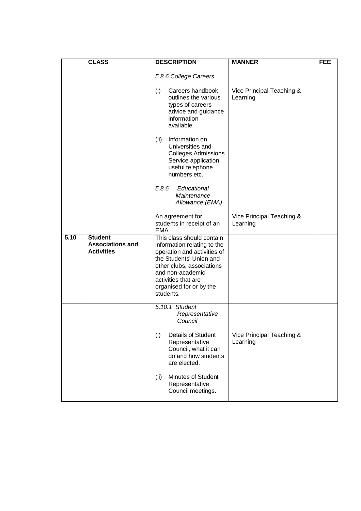|      | <b>CLASS</b>                                                   | <b>DESCRIPTION</b>                                                                                                                                                                                                                 | <b>MANNER</b>                         | <b>FEE</b> |
|------|----------------------------------------------------------------|------------------------------------------------------------------------------------------------------------------------------------------------------------------------------------------------------------------------------------|---------------------------------------|------------|
|      |                                                                | 5.8.6 College Careers<br>(i)<br>Careers handbook<br>outlines the various<br>types of careers<br>advice and guidance<br>information<br>available.<br>Information on<br>(ii)<br>Universities and                                     | Vice Principal Teaching &<br>Learning |            |
|      |                                                                | <b>Colleges Admissions</b><br>Service application,<br>useful telephone<br>numbers etc.                                                                                                                                             |                                       |            |
|      |                                                                | Educational<br>5.8.6<br>Maintenance<br>Allowance (EMA)                                                                                                                                                                             |                                       |            |
|      |                                                                | An agreement for<br>students in receipt of an<br><b>EMA</b>                                                                                                                                                                        | Vice Principal Teaching &<br>Learning |            |
| 5.10 | <b>Student</b><br><b>Associations and</b><br><b>Activities</b> | This class should contain<br>information relating to the<br>operation and activities of<br>the Students' Union and<br>other clubs, associations<br>and non-academic<br>activities that are<br>organised for or by the<br>students. |                                       |            |
|      |                                                                | 5.10.1 Student<br>Representative<br>Council                                                                                                                                                                                        |                                       |            |
|      |                                                                | (i)<br><b>Details of Student</b><br>Representative<br>Council, what it can<br>do and how students<br>are elected.                                                                                                                  | Vice Principal Teaching &<br>Learning |            |
|      |                                                                | Minutes of Student<br>(ii)<br>Representative<br>Council meetings.                                                                                                                                                                  |                                       |            |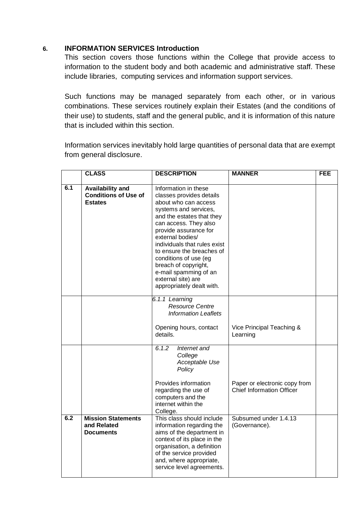#### <span id="page-30-0"></span>**6. INFORMATION SERVICES Introduction**

This section covers those functions within the College that provide access to information to the student body and both academic and administrative staff. These include libraries, computing services and information support services.

Such functions may be managed separately from each other, or in various combinations. These services routinely explain their Estates (and the conditions of their use) to students, staff and the general public, and it is information of this nature that is included within this section.

Information services inevitably hold large quantities of personal data that are exempt from general disclosure.

|     | <b>CLASS</b>                                                             | <b>DESCRIPTION</b>                                                                                                                                                                                                                                                                                                                                                                             | <b>MANNER</b>                                                     | <b>FEE</b> |
|-----|--------------------------------------------------------------------------|------------------------------------------------------------------------------------------------------------------------------------------------------------------------------------------------------------------------------------------------------------------------------------------------------------------------------------------------------------------------------------------------|-------------------------------------------------------------------|------------|
| 6.1 | <b>Availability and</b><br><b>Conditions of Use of</b><br><b>Estates</b> | Information in these<br>classes provides details<br>about who can access<br>systems and services,<br>and the estates that they<br>can access. They also<br>provide assurance for<br>external bodies/<br>individuals that rules exist<br>to ensure the breaches of<br>conditions of use (eg<br>breach of copyright,<br>e-mail spamming of an<br>external site) are<br>appropriately dealt with. |                                                                   |            |
|     |                                                                          | 6.1.1 Learning<br><b>Resource Centre</b><br><b>Information Leaflets</b>                                                                                                                                                                                                                                                                                                                        |                                                                   |            |
|     |                                                                          | Opening hours, contact<br>details.                                                                                                                                                                                                                                                                                                                                                             | Vice Principal Teaching &<br>Learning                             |            |
|     |                                                                          | 6.1.2<br>Internet and<br>College<br>Acceptable Use<br>Policy                                                                                                                                                                                                                                                                                                                                   |                                                                   |            |
|     |                                                                          | Provides information<br>regarding the use of<br>computers and the<br>internet within the<br>College.                                                                                                                                                                                                                                                                                           | Paper or electronic copy from<br><b>Chief Information Officer</b> |            |
| 6.2 | <b>Mission Statements</b><br>and Related<br><b>Documents</b>             | This class should include<br>information regarding the<br>aims of the department in<br>context of its place in the<br>organisation, a definition<br>of the service provided<br>and, where appropriate,<br>service level agreements.                                                                                                                                                            | Subsumed under 1.4.13<br>(Governance).                            |            |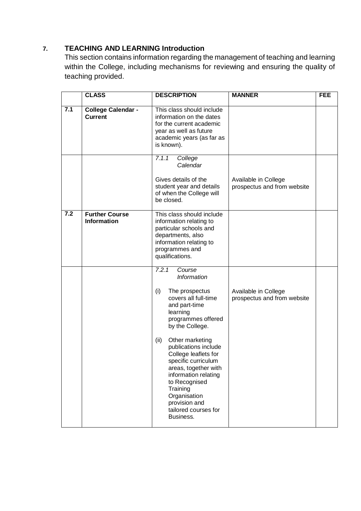#### <span id="page-31-0"></span>**7. TEACHING AND LEARNING Introduction**

This section contains information regarding the management of teaching and learning within the College, including mechanisms for reviewing and ensuring the quality of teaching provided.

|     | <b>CLASS</b>                                | <b>DESCRIPTION</b>                                                                                                                                                                                                                                                                                                                                                                                                | <b>MANNER</b>                                       | <b>FEE</b> |
|-----|---------------------------------------------|-------------------------------------------------------------------------------------------------------------------------------------------------------------------------------------------------------------------------------------------------------------------------------------------------------------------------------------------------------------------------------------------------------------------|-----------------------------------------------------|------------|
| 7.1 | College Calendar -<br><b>Current</b>        | This class should include<br>information on the dates<br>for the current academic<br>year as well as future<br>academic years (as far as<br>is known).                                                                                                                                                                                                                                                            |                                                     |            |
|     |                                             | 7.1.1<br>College<br>Calendar<br>Gives details of the<br>student year and details<br>of when the College will<br>be closed.                                                                                                                                                                                                                                                                                        | Available in College<br>prospectus and from website |            |
| 7.2 | <b>Further Course</b><br><b>Information</b> | This class should include<br>information relating to<br>particular schools and<br>departments, also<br>information relating to<br>programmes and<br>qualifications.                                                                                                                                                                                                                                               |                                                     |            |
|     |                                             | 7.2.1<br>Course<br><b>Information</b><br>(i)<br>The prospectus<br>covers all full-time<br>and part-time<br>learning<br>programmes offered<br>by the College.<br>Other marketing<br>(ii)<br>publications include<br>College leaflets for<br>specific curriculum<br>areas, together with<br>information relating<br>to Recognised<br>Training<br>Organisation<br>provision and<br>tailored courses for<br>Business. | Available in College<br>prospectus and from website |            |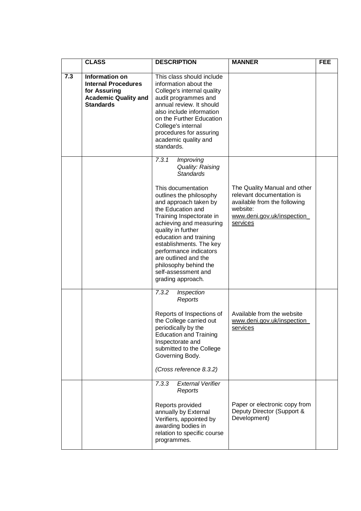|     | <b>CLASS</b>                                                                                                           | <b>DESCRIPTION</b>                                                                                                                                                                                                                                                                                                                                   | <b>MANNER</b>                                                                                                                                   | <b>FEE</b> |
|-----|------------------------------------------------------------------------------------------------------------------------|------------------------------------------------------------------------------------------------------------------------------------------------------------------------------------------------------------------------------------------------------------------------------------------------------------------------------------------------------|-------------------------------------------------------------------------------------------------------------------------------------------------|------------|
| 7.3 | <b>Information on</b><br><b>Internal Procedures</b><br>for Assuring<br><b>Academic Quality and</b><br><b>Standards</b> | This class should include<br>information about the<br>College's internal quality<br>audit programmes and<br>annual review. It should<br>also include information<br>on the Further Education<br>College's internal<br>procedures for assuring<br>academic quality and<br>standards.                                                                  |                                                                                                                                                 |            |
|     |                                                                                                                        | 7.3.1<br><b>Improving</b><br>Quality: Raising<br><b>Standards</b>                                                                                                                                                                                                                                                                                    |                                                                                                                                                 |            |
|     |                                                                                                                        | This documentation<br>outlines the philosophy<br>and approach taken by<br>the Education and<br>Training Inspectorate in<br>achieving and measuring<br>quality in further<br>education and training<br>establishments. The key<br>performance indicators<br>are outlined and the<br>philosophy behind the<br>self-assessment and<br>grading approach. | The Quality Manual and other<br>relevant documentation is<br>available from the following<br>website:<br>www.deni.gov.uk/inspection<br>services |            |
|     |                                                                                                                        | 7.3.2<br>Inspection<br>Reports                                                                                                                                                                                                                                                                                                                       |                                                                                                                                                 |            |
|     |                                                                                                                        | Reports of Inspections of<br>the College carried out<br>periodically by the<br><b>Education and Training</b><br>Inspectorate and<br>submitted to the College<br>Governing Body.<br>(Cross reference 8.3.2)                                                                                                                                           | Available from the website<br>www.deni.gov.uk/inspection<br>services                                                                            |            |
|     |                                                                                                                        | <b>External Verifier</b><br>7.3.3<br>Reports                                                                                                                                                                                                                                                                                                         |                                                                                                                                                 |            |
|     |                                                                                                                        | Reports provided<br>annually by External<br>Verifiers, appointed by<br>awarding bodies in<br>relation to specific course<br>programmes.                                                                                                                                                                                                              | Paper or electronic copy from<br>Deputy Director (Support &<br>Development)                                                                     |            |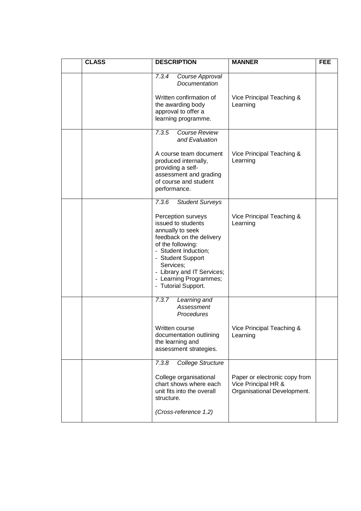| <b>CLASS</b> | <b>DESCRIPTION</b>                                                                                                                                                                                                                                     | <b>MANNER</b>                                                                       | <b>FEE</b> |
|--------------|--------------------------------------------------------------------------------------------------------------------------------------------------------------------------------------------------------------------------------------------------------|-------------------------------------------------------------------------------------|------------|
|              | 7.3.4<br>Course Approval<br>Documentation<br>Written confirmation of                                                                                                                                                                                   | Vice Principal Teaching &                                                           |            |
|              | the awarding body<br>approval to offer a<br>learning programme.                                                                                                                                                                                        | Learning                                                                            |            |
|              | 7.3.5<br><b>Course Review</b><br>and Evaluation                                                                                                                                                                                                        |                                                                                     |            |
|              | A course team document<br>produced internally,<br>providing a self-<br>assessment and grading<br>of course and student<br>performance.                                                                                                                 | Vice Principal Teaching &<br>Learning                                               |            |
|              | 7.3.6<br>Student Surveys                                                                                                                                                                                                                               |                                                                                     |            |
|              | Perception surveys<br>issued to students<br>annually to seek<br>feedback on the delivery<br>of the following:<br>- Student Induction;<br>- Student Support<br>Services;<br>- Library and IT Services;<br>- Learning Programmes;<br>- Tutorial Support. | Vice Principal Teaching &<br>Learning                                               |            |
|              | 7.3.7<br>Learning and<br><b>Assessment</b><br>Procedures                                                                                                                                                                                               |                                                                                     |            |
|              | Written course<br>documentation outlining<br>the learning and<br>assessment strategies.                                                                                                                                                                | Vice Principal Teaching &<br>Learning                                               |            |
|              | <b>College Structure</b><br>7.3.8                                                                                                                                                                                                                      |                                                                                     |            |
|              | College organisational<br>chart shows where each<br>unit fits into the overall<br>structure.                                                                                                                                                           | Paper or electronic copy from<br>Vice Principal HR &<br>Organisational Development. |            |
|              | (Cross-reference 1.2)                                                                                                                                                                                                                                  |                                                                                     |            |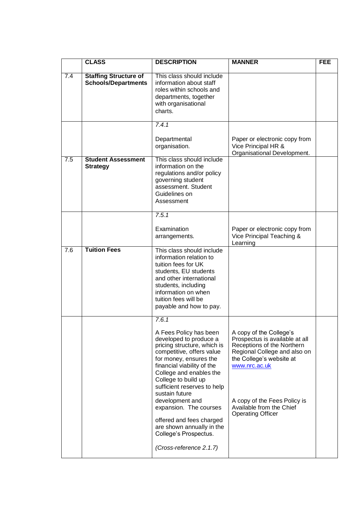|     | <b>CLASS</b>                                               | <b>DESCRIPTION</b>                                                                                                                                                                                                                                    | <b>MANNER</b>                                                                                                                                                        | <b>FEE</b> |
|-----|------------------------------------------------------------|-------------------------------------------------------------------------------------------------------------------------------------------------------------------------------------------------------------------------------------------------------|----------------------------------------------------------------------------------------------------------------------------------------------------------------------|------------|
| 7.4 | <b>Staffing Structure of</b><br><b>Schools/Departments</b> | This class should include<br>information about staff<br>roles within schools and<br>departments, together<br>with organisational<br>charts.                                                                                                           |                                                                                                                                                                      |            |
|     |                                                            | 7.4.1<br>Departmental<br>organisation.                                                                                                                                                                                                                | Paper or electronic copy from<br>Vice Principal HR &<br>Organisational Development.                                                                                  |            |
| 7.5 | <b>Student Assessment</b><br><b>Strategy</b>               | This class should include<br>information on the<br>regulations and/or policy<br>governing student<br>assessment. Student<br>Guidelines on<br>Assessment                                                                                               |                                                                                                                                                                      |            |
|     |                                                            | 7.5.1<br>Examination                                                                                                                                                                                                                                  | Paper or electronic copy from                                                                                                                                        |            |
|     |                                                            | arrangements.                                                                                                                                                                                                                                         | Vice Principal Teaching &<br>Learning                                                                                                                                |            |
| 7.6 | <b>Tuition Fees</b>                                        | This class should include<br>information relation to<br>tuition fees for UK<br>students, EU students<br>and other international<br>students, including<br>information on when<br>tuition fees will be<br>payable and how to pay.                      |                                                                                                                                                                      |            |
|     |                                                            | 7.6.1                                                                                                                                                                                                                                                 |                                                                                                                                                                      |            |
|     |                                                            | A Fees Policy has been<br>developed to produce a<br>pricing structure, which is<br>competitive, offers value<br>for money, ensures the<br>financial viability of the<br>College and enables the<br>College to build up<br>sufficient reserves to help | A copy of the College's<br>Prospectus is available at all<br>Receptions of the Northern<br>Regional College and also on<br>the College's website at<br>www.nrc.ac.uk |            |
|     |                                                            | sustain future<br>development and<br>expansion. The courses<br>offered and fees charged<br>are shown annually in the<br>College's Prospectus.<br>(Cross-reference 2.1.7)                                                                              | A copy of the Fees Policy is<br>Available from the Chief<br><b>Operating Officer</b>                                                                                 |            |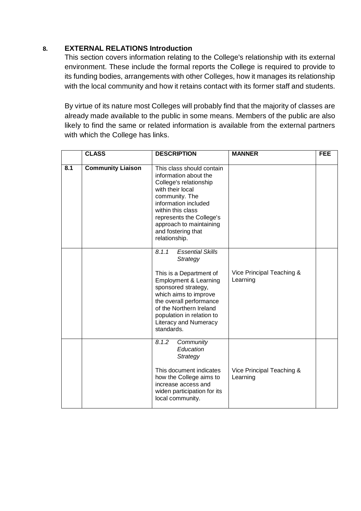#### <span id="page-35-0"></span>**8. EXTERNAL RELATIONS Introduction**

This section covers information relating to the College's relationship with its external environment. These include the formal reports the College is required to provide to its funding bodies, arrangements with other Colleges, how it manages its relationship with the local community and how it retains contact with its former staff and students.

By virtue of its nature most Colleges will probably find that the majority of classes are already made available to the public in some means. Members of the public are also likely to find the same or related information is available from the external partners with which the College has links.

|     | <b>CLASS</b>             | <b>DESCRIPTION</b>                                                                                                                                                                                                                                                                           | <b>MANNER</b>                         | <b>FEE</b> |
|-----|--------------------------|----------------------------------------------------------------------------------------------------------------------------------------------------------------------------------------------------------------------------------------------------------------------------------------------|---------------------------------------|------------|
| 8.1 | <b>Community Liaison</b> | This class should contain<br>information about the<br>College's relationship<br>with their local<br>community. The<br>information included<br>within this class<br>represents the College's<br>approach to maintaining<br>and fostering that<br>relationship.                                |                                       |            |
|     |                          | <b>Essential Skills</b><br>8.1.1<br>Strategy<br>This is a Department of<br><b>Employment &amp; Learning</b><br>sponsored strategy,<br>which aims to improve<br>the overall performance<br>of the Northern Ireland<br>population in relation to<br><b>Literacy and Numeracy</b><br>standards. | Vice Principal Teaching &<br>Learning |            |
|     |                          | 8.1.2<br>Community<br>Education<br>Strategy<br>This document indicates<br>how the College aims to<br>increase access and<br>widen participation for its<br>local community.                                                                                                                  | Vice Principal Teaching &<br>Learning |            |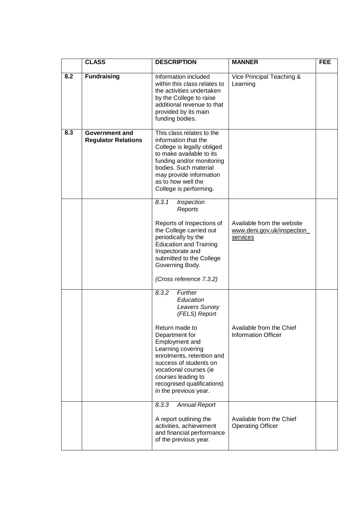|     | <b>CLASS</b>                                 | <b>DESCRIPTION</b>                                                                                                                                                                                                                                                                                        | <b>MANNER</b>                                                        | <b>FEE</b> |
|-----|----------------------------------------------|-----------------------------------------------------------------------------------------------------------------------------------------------------------------------------------------------------------------------------------------------------------------------------------------------------------|----------------------------------------------------------------------|------------|
| 8.2 | <b>Fundraising</b>                           | Information included<br>within this class relates to<br>the activities undertaken<br>by the College to raise<br>additional revenue to that<br>provided by its main<br>funding bodies.                                                                                                                     | Vice Principal Teaching &<br>Learning                                |            |
| 8.3 | Government and<br><b>Regulator Relations</b> | This class relates to the<br>information that the<br>College is legally obliged<br>to make available to its<br>funding and/or monitoring<br>bodies. Such material<br>may provide information<br>as to how well the<br>College is performing.                                                              |                                                                      |            |
|     |                                              | 8.3.1<br>Inspection<br>Reports<br>Reports of Inspections of<br>the College carried out<br>periodically by the<br><b>Education and Training</b><br>Inspectorate and<br>submitted to the College<br>Governing Body.<br>(Cross reference 7.3.2)                                                              | Available from the website<br>www.deni.gov.uk/inspection<br>services |            |
|     |                                              | 8.3.2<br>Further<br>Education<br>Leavers Survey<br>(FELS) Report<br>Return made to<br>Department for<br>Employment and<br>Learning covering<br>enrolments, retention and<br>success of students on<br>vocational courses (ie<br>courses leading to<br>recognised qualifications)<br>in the previous year. | Available from the Chief<br><b>Information Officer</b>               |            |
|     |                                              | 8.3.3<br><b>Annual Report</b><br>A report outlining the<br>activities, achievement<br>and financial performance<br>of the previous year.                                                                                                                                                                  | Available from the Chief<br><b>Operating Officer</b>                 |            |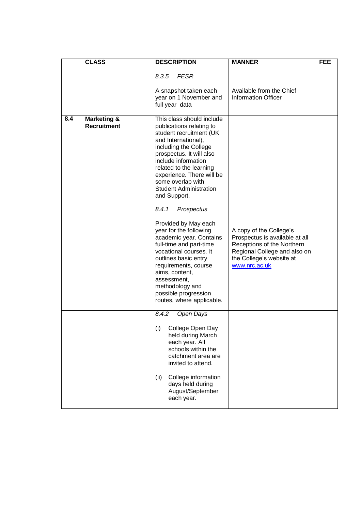|     | <b>CLASS</b>                                 | <b>DESCRIPTION</b>                                                                                                                                                                                                                                                                                                | <b>MANNER</b>                                                                                                                                                        | <b>FEE</b> |
|-----|----------------------------------------------|-------------------------------------------------------------------------------------------------------------------------------------------------------------------------------------------------------------------------------------------------------------------------------------------------------------------|----------------------------------------------------------------------------------------------------------------------------------------------------------------------|------------|
|     |                                              | 8.3.5<br><b>FESR</b><br>A snapshot taken each<br>year on 1 November and<br>full year data                                                                                                                                                                                                                         | Available from the Chief<br><b>Information Officer</b>                                                                                                               |            |
| 8.4 | <b>Marketing &amp;</b><br><b>Recruitment</b> | This class should include<br>publications relating to<br>student recruitment (UK<br>and International),<br>including the College<br>prospectus. It will also<br>include information<br>related to the learning<br>experience. There will be<br>some overlap with<br><b>Student Administration</b><br>and Support. |                                                                                                                                                                      |            |
|     |                                              | 8.4.1<br>Prospectus<br>Provided by May each<br>year for the following<br>academic year. Contains<br>full-time and part-time<br>vocational courses. It<br>outlines basic entry<br>requirements, course<br>aims, content,<br>assessment,<br>methodology and<br>possible progression<br>routes, where applicable.    | A copy of the College's<br>Prospectus is available at all<br>Receptions of the Northern<br>Regional College and also on<br>the College's website at<br>www.nrc.ac.uk |            |
|     |                                              | 8.4.2<br>Open Days<br>(i)<br>College Open Day<br>held during March<br>each year. All<br>schools within the<br>catchment area are<br>invited to attend.<br>College information<br>(ii)<br>days held during<br>August/September<br>each year.                                                                       |                                                                                                                                                                      |            |